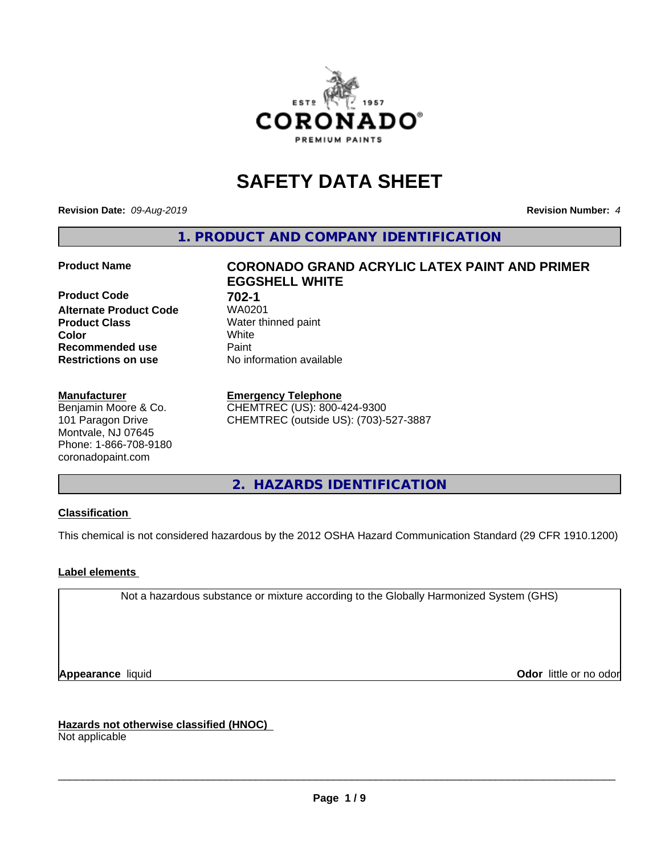

# **SAFETY DATA SHEET**

**Revision Date:** *09-Aug-2019* **Revision Number:** *4*

**1. PRODUCT AND COMPANY IDENTIFICATION**

**Product Code 61 702-1**<br>**Alternate Product Code 61 70201 Alternate Product Code Product Class** Water thinned paint<br> **Color** White **Color** White **Recommended use Caint Restrictions on use** No information available

#### **Manufacturer**

Benjamin Moore & Co. 101 Paragon Drive Montvale, NJ 07645 Phone: 1-866-708-9180 coronadopaint.com

# **Product Name CORONADO GRAND ACRYLIC LATEX PAINT AND PRIMER EGGSHELL WHITE**

#### **Emergency Telephone**

CHEMTREC (US): 800-424-9300 CHEMTREC (outside US): (703)-527-3887

**2. HAZARDS IDENTIFICATION**

# **Classification**

This chemical is not considered hazardous by the 2012 OSHA Hazard Communication Standard (29 CFR 1910.1200)

# **Label elements**

Not a hazardous substance or mixture according to the Globally Harmonized System (GHS)

**Appearance** liquid **Contract Contract Contract Contract Contract Contract Contract Contract Contract Contract Contract Contract Contract Contract Contract Contract Contract Contract Contract Contract Contract Contract Con** 

**Hazards not otherwise classified (HNOC)**

Not applicable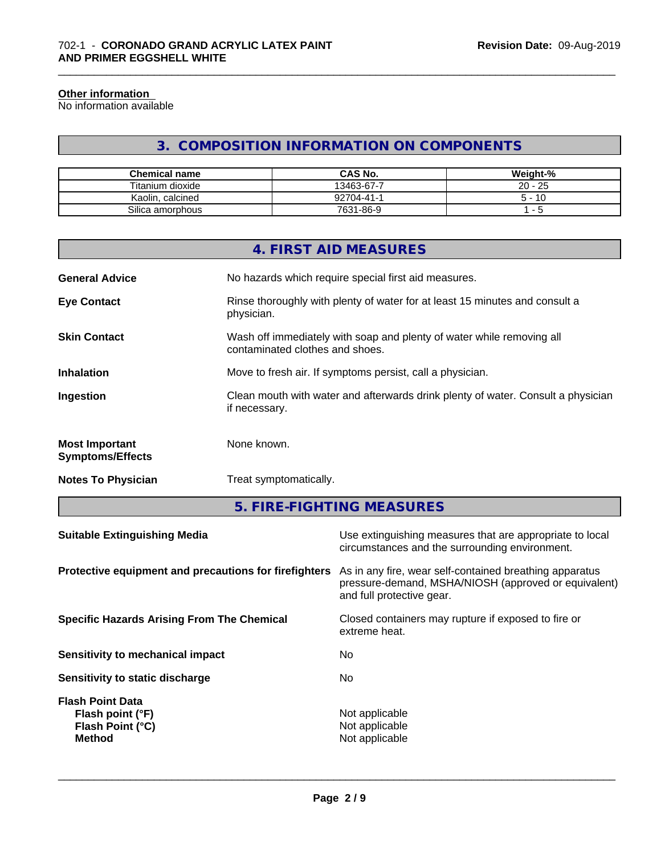#### **Other information**

No information available

# **3. COMPOSITION INFORMATION ON COMPONENTS**

\_\_\_\_\_\_\_\_\_\_\_\_\_\_\_\_\_\_\_\_\_\_\_\_\_\_\_\_\_\_\_\_\_\_\_\_\_\_\_\_\_\_\_\_\_\_\_\_\_\_\_\_\_\_\_\_\_\_\_\_\_\_\_\_\_\_\_\_\_\_\_\_\_\_\_\_\_\_\_\_\_\_\_\_\_\_\_\_\_\_\_\_\_

| <b>Chemical name</b> | <b>CAS No.</b> | Weight-%                       |
|----------------------|----------------|--------------------------------|
| Titanium dioxide     | 13463-67-7     | $-25$<br>20 -                  |
| Kaolin, calcined     | 92704-41-      | · 10<br>∽                      |
| Silica amorphous     | 7631-86-9      | $\overline{\phantom{0}}$<br>ັບ |

|                                                  | <b>4. FIRST AID MEASURES</b>                                                                             |
|--------------------------------------------------|----------------------------------------------------------------------------------------------------------|
| <b>General Advice</b>                            | No hazards which require special first aid measures.                                                     |
| <b>Eye Contact</b>                               | Rinse thoroughly with plenty of water for at least 15 minutes and consult a<br>physician.                |
| <b>Skin Contact</b>                              | Wash off immediately with soap and plenty of water while removing all<br>contaminated clothes and shoes. |
| <b>Inhalation</b>                                | Move to fresh air. If symptoms persist, call a physician.                                                |
| Ingestion                                        | Clean mouth with water and afterwards drink plenty of water. Consult a physician<br>if necessary.        |
| <b>Most Important</b><br><b>Symptoms/Effects</b> | None known.                                                                                              |
| <b>Notes To Physician</b>                        | Treat symptomatically.                                                                                   |
|                                                  |                                                                                                          |

**5. FIRE-FIGHTING MEASURES**

| <b>Suitable Extinguishing Media</b>                                              | Use extinguishing measures that are appropriate to local<br>circumstances and the surrounding environment.                                   |
|----------------------------------------------------------------------------------|----------------------------------------------------------------------------------------------------------------------------------------------|
| Protective equipment and precautions for firefighters                            | As in any fire, wear self-contained breathing apparatus<br>pressure-demand, MSHA/NIOSH (approved or equivalent)<br>and full protective gear. |
| <b>Specific Hazards Arising From The Chemical</b>                                | Closed containers may rupture if exposed to fire or<br>extreme heat.                                                                         |
| Sensitivity to mechanical impact                                                 | No.                                                                                                                                          |
| Sensitivity to static discharge                                                  | No.                                                                                                                                          |
| <b>Flash Point Data</b><br>Flash point (°F)<br>Flash Point (°C)<br><b>Method</b> | Not applicable<br>Not applicable<br>Not applicable                                                                                           |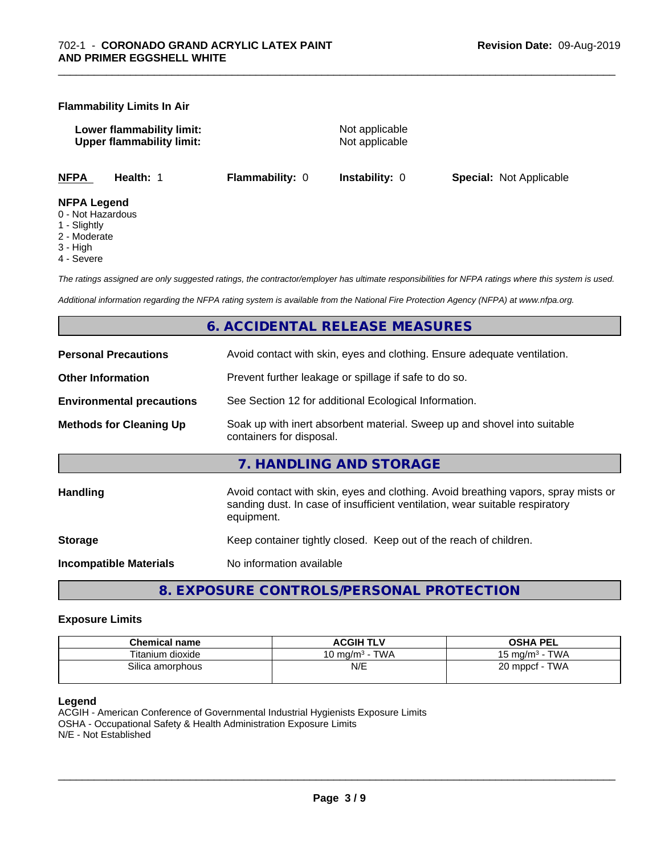#### **Flammability Limits In Air**

**Lower flammability limit:** Not applicable **Upper flammability limit:** Not applicable

\_\_\_\_\_\_\_\_\_\_\_\_\_\_\_\_\_\_\_\_\_\_\_\_\_\_\_\_\_\_\_\_\_\_\_\_\_\_\_\_\_\_\_\_\_\_\_\_\_\_\_\_\_\_\_\_\_\_\_\_\_\_\_\_\_\_\_\_\_\_\_\_\_\_\_\_\_\_\_\_\_\_\_\_\_\_\_\_\_\_\_\_\_

**NFPA Health:** 1 **Flammability:** 0 **Instability:** 0 **Special:** Not Applicable

#### **NFPA Legend**

- 0 Not Hazardous
- 1 Slightly
- 2 Moderate
- 3 High
- 4 Severe

*The ratings assigned are only suggested ratings, the contractor/employer has ultimate responsibilities for NFPA ratings where this system is used.*

*Additional information regarding the NFPA rating system is available from the National Fire Protection Agency (NFPA) at www.nfpa.org.*

# **6. ACCIDENTAL RELEASE MEASURES**

| <b>Personal Precautions</b>      | Avoid contact with skin, eyes and clothing. Ensure adequate ventilation.                                                                                                         |
|----------------------------------|----------------------------------------------------------------------------------------------------------------------------------------------------------------------------------|
| <b>Other Information</b>         | Prevent further leakage or spillage if safe to do so.                                                                                                                            |
| <b>Environmental precautions</b> | See Section 12 for additional Ecological Information.                                                                                                                            |
| <b>Methods for Cleaning Up</b>   | Soak up with inert absorbent material. Sweep up and shovel into suitable<br>containers for disposal.                                                                             |
|                                  | 7. HANDLING AND STORAGE                                                                                                                                                          |
| Handling                         | Avoid contact with skin, eyes and clothing. Avoid breathing vapors, spray mists or<br>sanding dust. In case of insufficient ventilation, wear suitable respiratory<br>equipment. |
| <b>Storage</b>                   | Keep container tightly closed. Keep out of the reach of children.                                                                                                                |
| <b>Incompatible Materials</b>    | No information available                                                                                                                                                         |
|                                  |                                                                                                                                                                                  |

**8. EXPOSURE CONTROLS/PERSONAL PROTECTION**

#### **Exposure Limits**

| <b>Chemical name</b> | <b>ACGIH TLV</b>                 | <b>OSHA PEL</b>                   |
|----------------------|----------------------------------|-----------------------------------|
| Titanium dioxide     | <b>TWA</b><br>10 ma/m $^{\rm 3}$ | <b>TWA</b><br>$15 \text{ ma/m}^3$ |
| Silica amorphous     | N/E                              | <b>TWA</b><br>20 mppcf            |

#### **Legend**

ACGIH - American Conference of Governmental Industrial Hygienists Exposure Limits OSHA - Occupational Safety & Health Administration Exposure Limits N/E - Not Established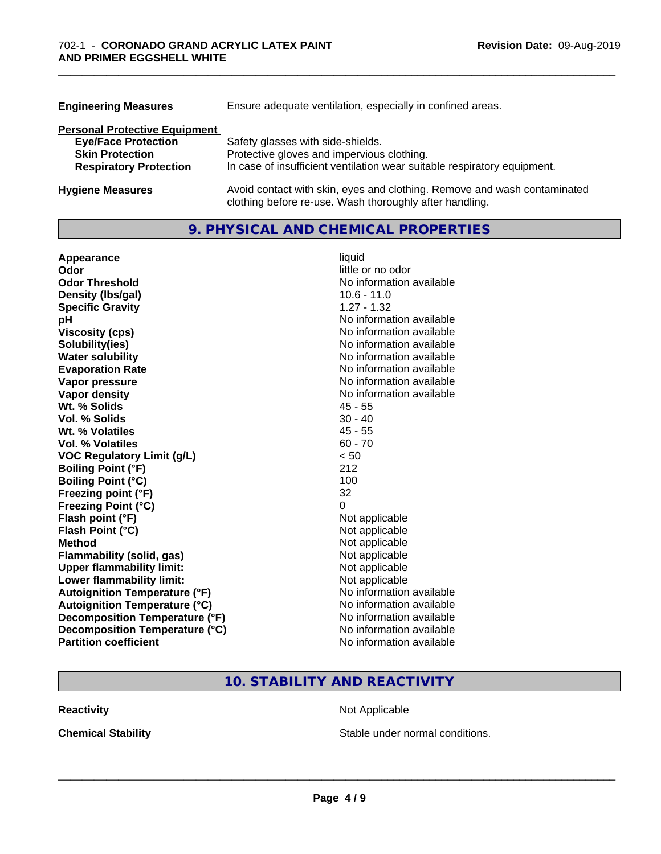| <b>Engineering Measures</b>          | Ensure adequate ventilation, especially in confined areas.                                                                          |  |  |
|--------------------------------------|-------------------------------------------------------------------------------------------------------------------------------------|--|--|
| <b>Personal Protective Equipment</b> |                                                                                                                                     |  |  |
| <b>Eye/Face Protection</b>           | Safety glasses with side-shields.                                                                                                   |  |  |
| <b>Skin Protection</b>               | Protective gloves and impervious clothing.                                                                                          |  |  |
| <b>Respiratory Protection</b>        | In case of insufficient ventilation wear suitable respiratory equipment.                                                            |  |  |
| <b>Hygiene Measures</b>              | Avoid contact with skin, eyes and clothing. Remove and wash contaminated<br>clothing before re-use. Wash thoroughly after handling. |  |  |

\_\_\_\_\_\_\_\_\_\_\_\_\_\_\_\_\_\_\_\_\_\_\_\_\_\_\_\_\_\_\_\_\_\_\_\_\_\_\_\_\_\_\_\_\_\_\_\_\_\_\_\_\_\_\_\_\_\_\_\_\_\_\_\_\_\_\_\_\_\_\_\_\_\_\_\_\_\_\_\_\_\_\_\_\_\_\_\_\_\_\_\_\_

# **9. PHYSICAL AND CHEMICAL PROPERTIES**

| Appearance                           | liquid                   |
|--------------------------------------|--------------------------|
| Odor                                 | little or no odor        |
| <b>Odor Threshold</b>                | No information available |
| Density (Ibs/gal)                    | $10.6 - 11.0$            |
| <b>Specific Gravity</b>              | $1.27 - 1.32$            |
| рH                                   | No information available |
| <b>Viscosity (cps)</b>               | No information available |
| Solubility(ies)                      | No information available |
| <b>Water solubility</b>              | No information available |
| <b>Evaporation Rate</b>              | No information available |
| Vapor pressure                       | No information available |
| <b>Vapor density</b>                 | No information available |
| Wt. % Solids                         | $45 - 55$                |
| Vol. % Solids                        | $30 - 40$                |
| Wt. % Volatiles                      | $45 - 55$                |
| <b>Vol. % Volatiles</b>              | $60 - 70$                |
| <b>VOC Regulatory Limit (g/L)</b>    | < 50                     |
| <b>Boiling Point (°F)</b>            | 212                      |
| <b>Boiling Point (°C)</b>            | 100                      |
| Freezing point (°F)                  | 32                       |
| <b>Freezing Point (°C)</b>           | 0                        |
| Flash point (°F)                     | Not applicable           |
| Flash Point (°C)                     | Not applicable           |
| <b>Method</b>                        | Not applicable           |
| <b>Flammability (solid, gas)</b>     | Not applicable           |
| <b>Upper flammability limit:</b>     | Not applicable           |
| Lower flammability limit:            | Not applicable           |
| <b>Autoignition Temperature (°F)</b> | No information available |
| <b>Autoignition Temperature (°C)</b> | No information available |
| Decomposition Temperature (°F)       | No information available |
| Decomposition Temperature (°C)       | No information available |
| <b>Partition coefficient</b>         | No information available |

# **10. STABILITY AND REACTIVITY**

**Reactivity Not Applicable** Not Applicable

**Chemical Stability Chemical Stability** Stable under normal conditions.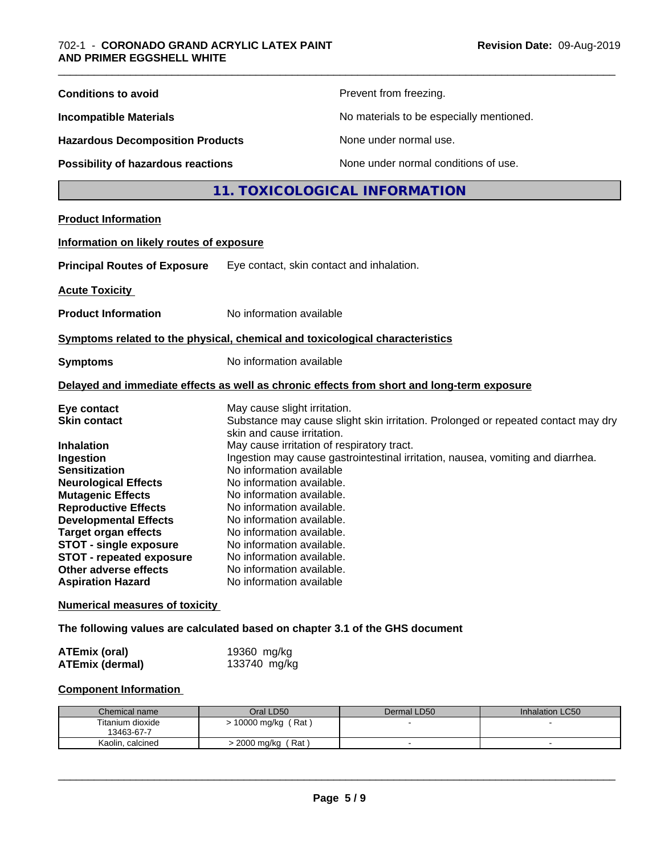| <b>Conditions to avoid</b>                                                                                                                                                |                                                                                                                                                                                                                                                                               | Prevent from freezing.                                                                                                                          |                 |  |
|---------------------------------------------------------------------------------------------------------------------------------------------------------------------------|-------------------------------------------------------------------------------------------------------------------------------------------------------------------------------------------------------------------------------------------------------------------------------|-------------------------------------------------------------------------------------------------------------------------------------------------|-----------------|--|
| <b>Incompatible Materials</b>                                                                                                                                             |                                                                                                                                                                                                                                                                               | No materials to be especially mentioned.                                                                                                        |                 |  |
| <b>Hazardous Decomposition Products</b><br>Possibility of hazardous reactions                                                                                             |                                                                                                                                                                                                                                                                               | None under normal use.                                                                                                                          |                 |  |
|                                                                                                                                                                           |                                                                                                                                                                                                                                                                               | None under normal conditions of use.                                                                                                            |                 |  |
|                                                                                                                                                                           |                                                                                                                                                                                                                                                                               | 11. TOXICOLOGICAL INFORMATION                                                                                                                   |                 |  |
| <b>Product Information</b>                                                                                                                                                |                                                                                                                                                                                                                                                                               |                                                                                                                                                 |                 |  |
| Information on likely routes of exposure                                                                                                                                  |                                                                                                                                                                                                                                                                               |                                                                                                                                                 |                 |  |
| <b>Principal Routes of Exposure</b>                                                                                                                                       | Eye contact, skin contact and inhalation.                                                                                                                                                                                                                                     |                                                                                                                                                 |                 |  |
| <b>Acute Toxicity</b>                                                                                                                                                     |                                                                                                                                                                                                                                                                               |                                                                                                                                                 |                 |  |
| <b>Product Information</b>                                                                                                                                                | No information available                                                                                                                                                                                                                                                      |                                                                                                                                                 |                 |  |
|                                                                                                                                                                           |                                                                                                                                                                                                                                                                               |                                                                                                                                                 |                 |  |
| Symptoms related to the physical, chemical and toxicological characteristics                                                                                              |                                                                                                                                                                                                                                                                               |                                                                                                                                                 |                 |  |
| <b>Symptoms</b>                                                                                                                                                           |                                                                                                                                                                                                                                                                               | No information available                                                                                                                        |                 |  |
| Delayed and immediate effects as well as chronic effects from short and long-term exposure                                                                                |                                                                                                                                                                                                                                                                               |                                                                                                                                                 |                 |  |
| Eye contact<br><b>Skin contact</b>                                                                                                                                        |                                                                                                                                                                                                                                                                               | May cause slight irritation.<br>Substance may cause slight skin irritation. Prolonged or repeated contact may dry<br>skin and cause irritation. |                 |  |
| Inhalation<br>Ingestion<br><b>Sensitization</b><br><b>Neurological Effects</b><br><b>Mutagenic Effects</b><br><b>Reproductive Effects</b><br><b>Developmental Effects</b> | May cause irritation of respiratory tract.<br>Ingestion may cause gastrointestinal irritation, nausea, vomiting and diarrhea.<br>No information available<br>No information available.<br>No information available.<br>No information available.<br>No information available. |                                                                                                                                                 |                 |  |
| <b>Target organ effects</b><br><b>STOT - single exposure</b><br><b>STOT - repeated exposure</b><br>Other adverse effects<br><b>Aspiration Hazard</b>                      | No information available.<br>No information available.<br>No information available.<br>No information available.<br>No information available                                                                                                                                  |                                                                                                                                                 |                 |  |
| <b>Numerical measures of toxicity</b>                                                                                                                                     |                                                                                                                                                                                                                                                                               |                                                                                                                                                 |                 |  |
| The following values are calculated based on chapter 3.1 of the GHS document                                                                                              |                                                                                                                                                                                                                                                                               |                                                                                                                                                 |                 |  |
| <b>ATEmix (oral)</b><br><b>ATEmix (dermal)</b>                                                                                                                            | 19360 mg/kg<br>133740 mg/kg                                                                                                                                                                                                                                                   |                                                                                                                                                 |                 |  |
| <b>Component Information</b>                                                                                                                                              |                                                                                                                                                                                                                                                                               |                                                                                                                                                 |                 |  |
| Chemical name                                                                                                                                                             | Oral LD50                                                                                                                                                                                                                                                                     | Dermal LD50                                                                                                                                     | Inhalation LC50 |  |
| Titanium dioxide<br>13463-67-7                                                                                                                                            | > 10000 mg/kg (Rat)                                                                                                                                                                                                                                                           |                                                                                                                                                 |                 |  |
| Kaolin, calcined                                                                                                                                                          | > 2000 mg/kg (Rat)                                                                                                                                                                                                                                                            | $\blacksquare$                                                                                                                                  | $\mathbf{r}$    |  |

Kaolin, calcined > 2000 mg/kg ( Rat ) - -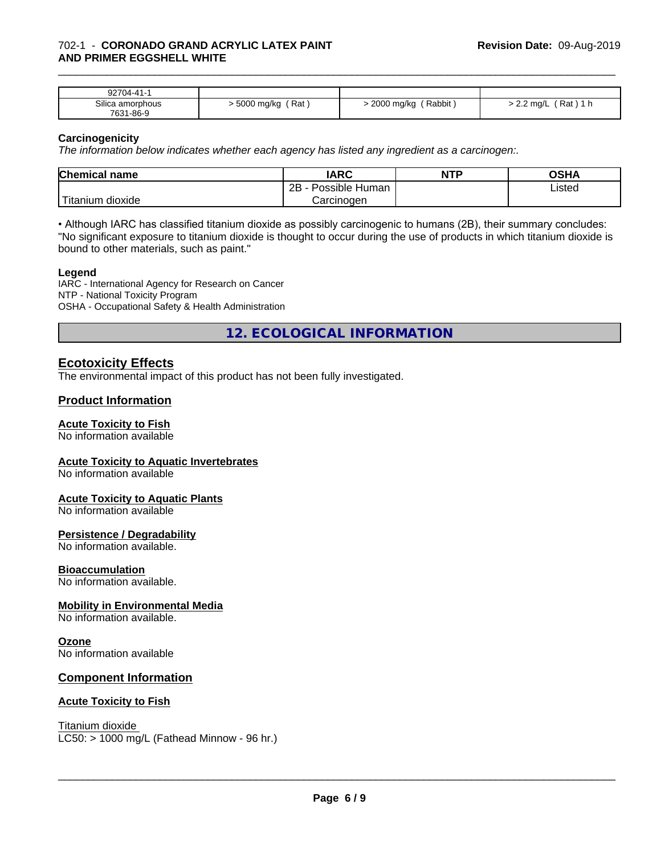### 702-1 - **CORONADO GRAND ACRYLIC LATEX PAINT AND PRIMER EGGSHELL WHITE**

| 92704-41-                     |                   |                           |                           |
|-------------------------------|-------------------|---------------------------|---------------------------|
| Silica amorphous<br>7631-86-9 | Rat<br>5000 mg/kg | Rabbit<br>2000<br>J mg/kg | Rat<br>$2.2 \text{ mq/L}$ |

\_\_\_\_\_\_\_\_\_\_\_\_\_\_\_\_\_\_\_\_\_\_\_\_\_\_\_\_\_\_\_\_\_\_\_\_\_\_\_\_\_\_\_\_\_\_\_\_\_\_\_\_\_\_\_\_\_\_\_\_\_\_\_\_\_\_\_\_\_\_\_\_\_\_\_\_\_\_\_\_\_\_\_\_\_\_\_\_\_\_\_\_\_

#### **Carcinogenicity**

*The information below indicateswhether each agency has listed any ingredient as a carcinogen:.*

| <b>Chemical</b><br>name              | <b>IARC</b>                  | <b>NTP</b> | ៱ເມ∧<br>∪וכ |
|--------------------------------------|------------------------------|------------|-------------|
|                                      | .<br>2B<br>Human<br>Possible |            | Listed      |
| .<br><br>. dioxide<br><b>itanium</b> | Carcinogen                   |            |             |

• Although IARC has classified titanium dioxide as possibly carcinogenic to humans (2B), their summary concludes: "No significant exposure to titanium dioxide is thought to occur during the use of products in which titanium dioxide is bound to other materials, such as paint."

#### **Legend**

IARC - International Agency for Research on Cancer NTP - National Toxicity Program OSHA - Occupational Safety & Health Administration

**12. ECOLOGICAL INFORMATION**

# **Ecotoxicity Effects**

The environmental impact of this product has not been fully investigated.

#### **Product Information**

#### **Acute Toxicity to Fish**

No information available

#### **Acute Toxicity to Aquatic Invertebrates**

No information available

#### **Acute Toxicity to Aquatic Plants**

No information available

#### **Persistence / Degradability**

No information available.

# **Bioaccumulation**

No information available.

# **Mobility in Environmental Media**

No information available.

### **Ozone**

No information available

#### **Component Information**

#### **Acute Toxicity to Fish**

Titanium dioxide  $LC50:$  > 1000 mg/L (Fathead Minnow - 96 hr.)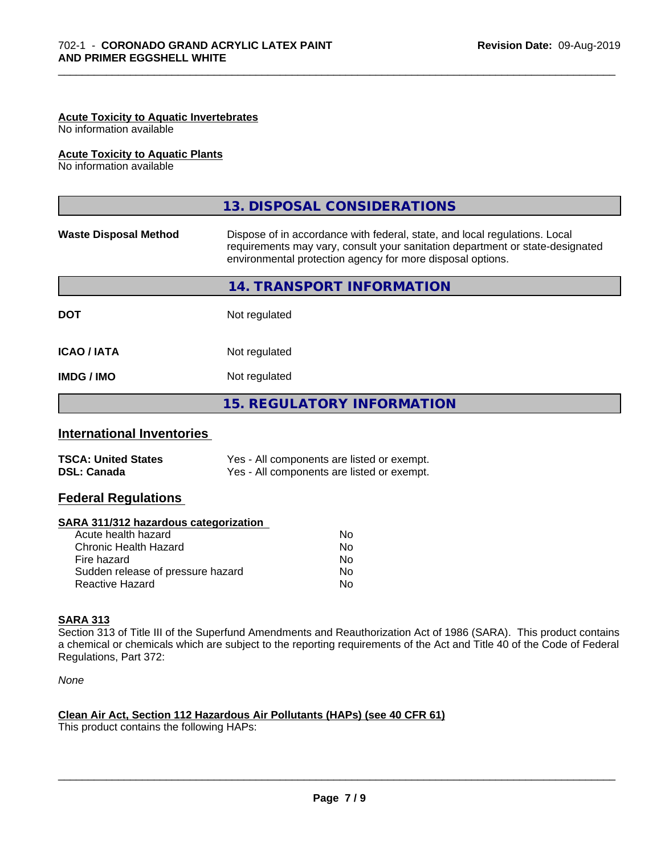# **Acute Toxicity to Aquatic Invertebrates**

No information available

#### **Acute Toxicity to Aquatic Plants**

No information available

|                              | 13. DISPOSAL CONSIDERATIONS                                                                                                                                                                                               |
|------------------------------|---------------------------------------------------------------------------------------------------------------------------------------------------------------------------------------------------------------------------|
| <b>Waste Disposal Method</b> | Dispose of in accordance with federal, state, and local regulations. Local<br>requirements may vary, consult your sanitation department or state-designated<br>environmental protection agency for more disposal options. |
|                              | 14. TRANSPORT INFORMATION                                                                                                                                                                                                 |
| <b>DOT</b>                   | Not regulated                                                                                                                                                                                                             |
| <b>ICAO/IATA</b>             | Not regulated                                                                                                                                                                                                             |
| <b>IMDG/IMO</b>              | Not regulated                                                                                                                                                                                                             |
|                              | <b>15. REGULATORY INFORMATION</b>                                                                                                                                                                                         |

\_\_\_\_\_\_\_\_\_\_\_\_\_\_\_\_\_\_\_\_\_\_\_\_\_\_\_\_\_\_\_\_\_\_\_\_\_\_\_\_\_\_\_\_\_\_\_\_\_\_\_\_\_\_\_\_\_\_\_\_\_\_\_\_\_\_\_\_\_\_\_\_\_\_\_\_\_\_\_\_\_\_\_\_\_\_\_\_\_\_\_\_\_

# **International Inventories**

| <b>TSCA: United States</b> | Yes - All components are listed or exempt. |
|----------------------------|--------------------------------------------|
| <b>DSL: Canada</b>         | Yes - All components are listed or exempt. |

# **Federal Regulations**

#### **SARA 311/312 hazardous categorization**

| No |
|----|
| Nο |
| N٥ |
| Nο |
| N٥ |
|    |

#### **SARA 313**

Section 313 of Title III of the Superfund Amendments and Reauthorization Act of 1986 (SARA). This product contains a chemical or chemicals which are subject to the reporting requirements of the Act and Title 40 of the Code of Federal Regulations, Part 372:

*None*

# **Clean Air Act,Section 112 Hazardous Air Pollutants (HAPs) (see 40 CFR 61)**

This product contains the following HAPs: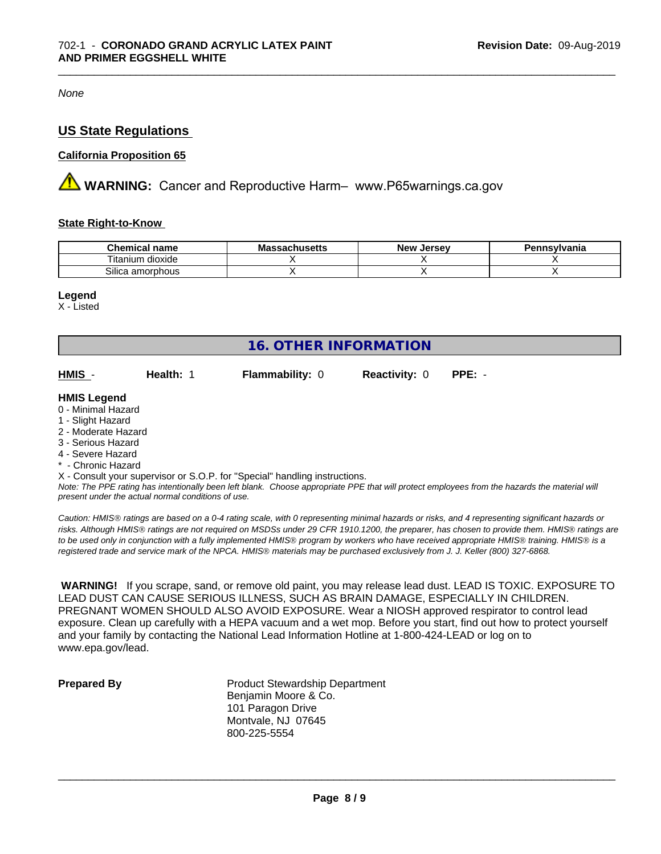*None*

# **US State Regulations**

#### **California Proposition 65**

**AN** WARNING: Cancer and Reproductive Harm– www.P65warnings.ca.gov

#### **State Right-to-Know**

| Chemical<br>name           | .eheetta<br>.v.a | <b>Jersev</b><br>– New∶ | าnsvlvania |
|----------------------------|------------------|-------------------------|------------|
| dioxide<br>l itanıum       |                  |                         |            |
| ~…<br>amorphous<br>∽ollicٽ |                  |                         |            |

\_\_\_\_\_\_\_\_\_\_\_\_\_\_\_\_\_\_\_\_\_\_\_\_\_\_\_\_\_\_\_\_\_\_\_\_\_\_\_\_\_\_\_\_\_\_\_\_\_\_\_\_\_\_\_\_\_\_\_\_\_\_\_\_\_\_\_\_\_\_\_\_\_\_\_\_\_\_\_\_\_\_\_\_\_\_\_\_\_\_\_\_\_

#### **Legend**

X - Listed

| <b>16. OTHER INFORMATION</b>                                                                                                                          |                                                    |                                                                            |                      |                                                                                                                                               |  |  |
|-------------------------------------------------------------------------------------------------------------------------------------------------------|----------------------------------------------------|----------------------------------------------------------------------------|----------------------|-----------------------------------------------------------------------------------------------------------------------------------------------|--|--|
| HMIS -                                                                                                                                                | Health: 1                                          | <b>Flammability: 0</b>                                                     | <b>Reactivity: 0</b> | $PPE: -$                                                                                                                                      |  |  |
| <b>HMIS Legend</b><br>0 - Minimal Hazard<br>1 - Slight Hazard<br>2 - Moderate Hazard<br>3 - Serious Hazard<br>4 - Severe Hazard<br>* - Chronic Hazard |                                                    |                                                                            |                      |                                                                                                                                               |  |  |
|                                                                                                                                                       | present under the actual normal conditions of use. | X - Consult your supervisor or S.O.P. for "Special" handling instructions. |                      | Note: The PPE rating has intentionally been left blank. Choose appropriate PPE that will protect employees from the hazards the material will |  |  |

*Caution: HMISÒ ratings are based on a 0-4 rating scale, with 0 representing minimal hazards or risks, and 4 representing significant hazards or risks. Although HMISÒ ratings are not required on MSDSs under 29 CFR 1910.1200, the preparer, has chosen to provide them. HMISÒ ratings are to be used only in conjunction with a fully implemented HMISÒ program by workers who have received appropriate HMISÒ training. HMISÒ is a registered trade and service mark of the NPCA. HMISÒ materials may be purchased exclusively from J. J. Keller (800) 327-6868.*

 **WARNING!** If you scrape, sand, or remove old paint, you may release lead dust. LEAD IS TOXIC. EXPOSURE TO LEAD DUST CAN CAUSE SERIOUS ILLNESS, SUCH AS BRAIN DAMAGE, ESPECIALLY IN CHILDREN. PREGNANT WOMEN SHOULD ALSO AVOID EXPOSURE. Wear a NIOSH approved respirator to control lead exposure. Clean up carefully with a HEPA vacuum and a wet mop. Before you start, find out how to protect yourself and your family by contacting the National Lead Information Hotline at 1-800-424-LEAD or log on to www.epa.gov/lead.

**Prepared By** Product Stewardship Department Benjamin Moore & Co. 101 Paragon Drive Montvale, NJ 07645 800-225-5554